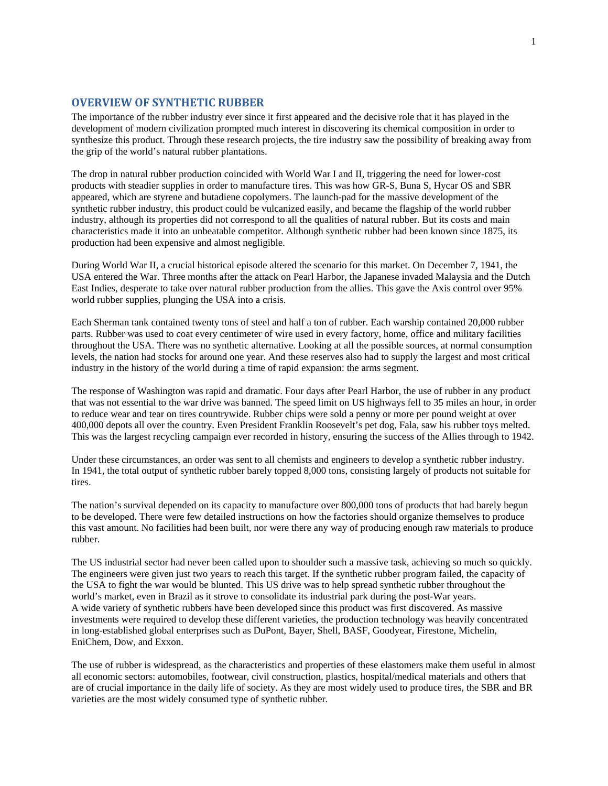## **OVERVIEW OF SYNTHETIC RUBBER**

The importance of the rubber industry ever since it first appeared and the decisive role that it has played in the development of modern civilization prompted much interest in discovering its chemical composition in order to synthesize this product. Through these research projects, the tire industry saw the possibility of breaking away from the grip of the world's natural rubber plantations.

The drop in natural rubber production coincided with World War I and II, triggering the need for lower-cost products with steadier supplies in order to manufacture tires. This was how GR-S, Buna S, Hycar OS and SBR appeared, which are styrene and butadiene copolymers. The launch-pad for the massive development of the synthetic rubber industry, this product could be vulcanized easily, and became the flagship of the world rubber industry, although its properties did not correspond to all the qualities of natural rubber. But its costs and main characteristics made it into an unbeatable competitor. Although synthetic rubber had been known since 1875, its production had been expensive and almost negligible.

During World War II, a crucial historical episode altered the scenario for this market. On December 7, 1941, the USA entered the War. Three months after the attack on Pearl Harbor, the Japanese invaded Malaysia and the Dutch East Indies, desperate to take over natural rubber production from the allies. This gave the Axis control over 95% world rubber supplies, plunging the USA into a crisis.

Each Sherman tank contained twenty tons of steel and half a ton of rubber. Each warship contained 20,000 rubber parts. Rubber was used to coat every centimeter of wire used in every factory, home, office and military facilities throughout the USA. There was no synthetic alternative. Looking at all the possible sources, at normal consumption levels, the nation had stocks for around one year. And these reserves also had to supply the largest and most critical industry in the history of the world during a time of rapid expansion: the arms segment.

The response of Washington was rapid and dramatic. Four days after Pearl Harbor, the use of rubber in any product that was not essential to the war drive was banned. The speed limit on US highways fell to 35 miles an hour, in order to reduce wear and tear on tires countrywide. Rubber chips were sold a penny or more per pound weight at over 400,000 depots all over the country. Even President Franklin Roosevelt's pet dog, Fala, saw his rubber toys melted. This was the largest recycling campaign ever recorded in history, ensuring the success of the Allies through to 1942.

Under these circumstances, an order was sent to all chemists and engineers to develop a synthetic rubber industry. In 1941, the total output of synthetic rubber barely topped 8,000 tons, consisting largely of products not suitable for tires.

The nation's survival depended on its capacity to manufacture over 800,000 tons of products that had barely begun to be developed. There were few detailed instructions on how the factories should organize themselves to produce this vast amount. No facilities had been built, nor were there any way of producing enough raw materials to produce rubber.

The US industrial sector had never been called upon to shoulder such a massive task, achieving so much so quickly. The engineers were given just two years to reach this target. If the synthetic rubber program failed, the capacity of the USA to fight the war would be blunted. This US drive was to help spread synthetic rubber throughout the world's market, even in Brazil as it strove to consolidate its industrial park during the post-War years. A wide variety of synthetic rubbers have been developed since this product was first discovered. As massive investments were required to develop these different varieties, the production technology was heavily concentrated in long-established global enterprises such as DuPont, Bayer, Shell, BASF, Goodyear, Firestone, Michelin, EniChem, Dow, and Exxon.

The use of rubber is widespread, as the characteristics and properties of these elastomers make them useful in almost all economic sectors: automobiles, footwear, civil construction, plastics, hospital/medical materials and others that are of crucial importance in the daily life of society. As they are most widely used to produce tires, the SBR and BR varieties are the most widely consumed type of synthetic rubber.